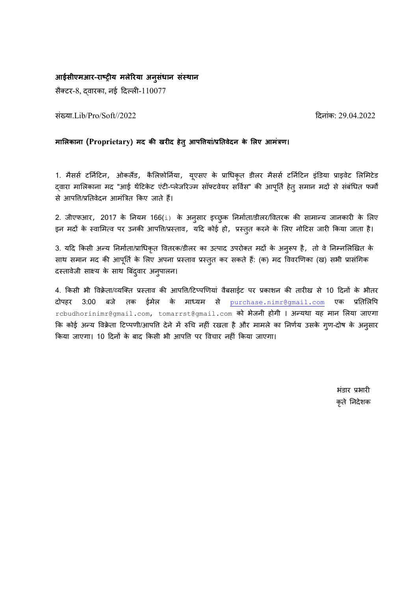#### आईसीएमआर-राष्ट्रीय मलेरिया अनुसंधान संस्थान

सैक्टर-8, दवारका, नई दिल्ली- $110077$ 

संख्या.Lib/Pro/Soft//2022 बिनांक: 29.04.2022

#### मालिकाना (Proprietary) मद की खरीद हेतु आपत्तियां/प्रतिवेदन के लिए आमंत्रण।

1. मैसर्स टर्निटिन, ओकलैंड, कैलिफ़ोर्निया, यूएसए के प्राधिकृत डीलर मैसर्स टर्निटिन इंडिया प्राइवेट लिमिटेड द्वारा मालिकाना मद "आई थैटिकेट एंटी-प्लेजरिज्म सॉफ्टवेयर सर्विस" की आपूर्ति हेतु समान मदों से संबंधित फर्मों से आपत्ति/प्रतिवेदन आमंत्रित किए जाते हैं।

2. जीएफआर, 2017 के नियम 166(1) के अनुसार इच्छुक निर्माता/डीलर/वितरक की सामान्य जानकारी के लिए इन मदों के स्वामित्व पर उनकी आपत्ति/प्रस्ताव, यदि कोई हो, प्रस्तुत करने के लिए नोटिस जारी किया जाता है।

3. यदि किसी अन्य निर्माता/प्राधिकृत वितरक/डीलर का उत्पाद उपरोक्त मदों के अनुरूप है, तो वे निम्नलिखित के साथ समान मद की आपूर्ति के लिए अपना प्रस्ताव प्रस्तुत कर सकते हैं: (क) मद विवरणिका (ख) सभी प्रासंगिक दस्तावेजी साक्ष्य के साथ बिंद्वार अनुपालन।

4. किसी भी विक्रेता/व्यक्ति प्रस्ताव की आपत्ति/टिप्पणियां वैबसाईट पर प्रकाशन की तारीख से 10 दिनों के भीतर दोपहर 3:00 बजे तक ईमेल के माध्यम से purchase.nimr@gmail.com एक प्रतिलिपि rcbudhorinimr@gmail.com, tomarrst@gmail.com को भेजनी होगी | अन्यथा यह मान लिया जाएगा कि कोई अन्य विक्रेता टिप्पणी/आपति देने में रुचि नहीं रखता है और मामले का निर्णय उसके गृण-दोष के अनुसार किया जाएगा। 10 दिनों के बाद किसी भी आपति पर विचार नहीं किया जाएगा।

भंडार भौगोलिक अधिकारिक स्थान करने के बाद में साथ करने के बाद में साथ करने के बाद में साथ करने के बाद में साथ क क्ति । जिदेशक अन्यता अस्ति । जिदेशक अन्यता अस्ति । जिदेशक अन्यता अस्ति । जिदेशक अन्यता अस्ति । जिदेशक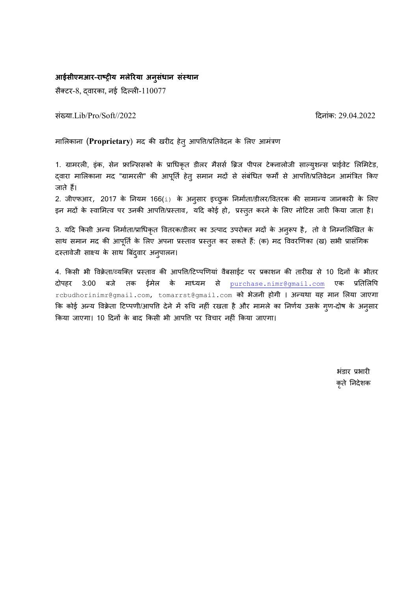### आईसीएमआर-राष्ट्रीय मलेरिया अनुसंधान संस्थान

सैक्टर-8, दवारका, नई दिल्ली- $110077$ 

संख्या.Lib/Pro/Soft//2022 बिनांक: 29.04.2022

मालिकाना (Proprietary) मद की खरीद हेत् आपति/प्रतिवेदन के लिए आमंत्रण

1. ग्रामरली, इंक, सेन फ्रान्सिसको के प्राधिकृत डीलर मैसर्स ब्रिज पीपल टेक्नालोजी साल्युशन्स प्राईवेट लिमिटेड, द्वारा मालिकाना मद "ग्रामरली" की आपूर्ति हेत् समान मदों से संबंधित फर्मों से आपत्ति/प्रतिवेदन आमंत्रित किए जाते हैं।

2. जीएफआर, 2017 के नियम 166(1) के अनुसार इच्छुक निर्माता/डीलर/वितरक की सामान्य जानकारी के लिए इन मदों के स्वामित्व पर उनकी आपत्ति/प्रस्ताव, यदि कोई हो, प्रस्तुत करने के लिए नोटिस जारी किया जाता है।

3. यदि किसी अन्य निर्माता/प्राधिकृत वितरक/डीलर का उत्पाद उपरोक्त मदों के अन्रूप है, तो वे निम्नलिखित के साथ समान मद की आपूर्ति के लिए अपना प्रस्ताव प्रस्तुत कर सकते हैं: (क) मद विवरणिका (ख) सभी प्रासंगिक दस्तावेजी साक्ष्य के साथ बिंदुवार अनुपालन।

4. किसी भी विक्रेता/व्यक्ति प्रस्ताव की आपत्ति/टिप्पणियां वैबसाईट पर प्रकाशन की तारीख से 10 दिनों के भीतर दोपहर 3:00 बजे तक ईमेल के माध्यम से purchase.nimr@gmail.com एक प्रतिलिपि rcbudhorinimr@gmail.com, tomarrst@gmail.com को भेजनी होगी | अन्यथा यह मान लिया जाएगा कि कोई अन्य विक्रेता टिप्पणी/आपत्ति देने में रुचि नहीं रखता है और मामले का निर्णय उसके गुण-दोष के अनुसार किया जाएगा। 10 दिनों के बाद किसी भी आपति पर विचार नहीं किया जाएगा।

भंडार भौगोलिक करने के बाद में समाप्त करने के बाद में समाप्त करने के बाद में समाप्त करने के बाद में समाप्त करने क्ति जिदेशक अन्यता अस्ति । अन्यता अस्ति । अन्यता अस्ति । अन्यता अस्ति । अन्यता अस्ति । अन्यता अस्ति । अन्यता अ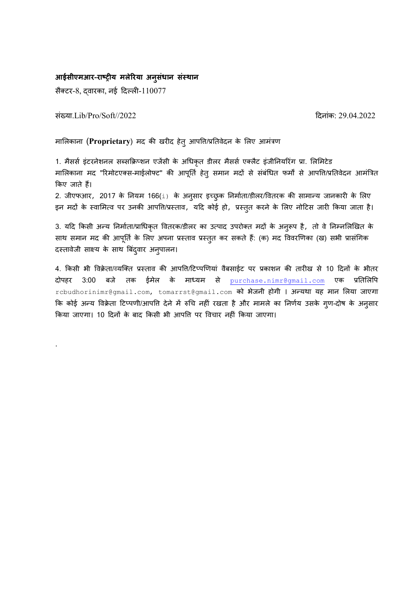#### आईसीएमआर-राष्ट्रीय मलेरिया अनुसंधान संस्थान

सैक्टर-8, दवारका, नई दिल्ली- $110077$ 

संख्या.Lib/Pro/Soft//2022 बिनांक: 29.04.2022

.

मालिकाना (Proprietary) मद की खरीद हेत् आपति/प्रतिवेदन के लिए आमंत्रण

1. मैसर्स इंटरनेशनल सब्सक्रिप्शन एजेंसी के अधिकृत डीलर मैसर्स एक्लैट इंजीनियरिंग प्रा. लिमिटेड मालिकाना मद "रिमोटएक्स-माईलोफ्ट" की आपूर्ति हेतु समान मदों से संबंधित फर्मों से आपत्ति/प्रतिवेदन आमंत्रित किए जाते हैं।

2. जीएफआर, 2017 के नियम 166(i) के अनुसार इच्छुक निर्माता/डीलर/वितरक की सामान्य जानकारी के लिए इन मदों के स्वामित्व पर उनकी आपत्ति/प्रस्ताव, यदि कोई हो, प्रस्तुत करने के लिए नोटिस जारी किया जाता है।

3. यदि किसी अन्य निर्माता/प्राधिकृत वितरक/डीलर का उत्पाद उपरोक्त मदों के अनुरूप है, तो वे निम्नलिखित के साथ समान मद की आपूर्ति के लिए अपना प्रस्ताव प्रस्तुत कर सकते हैं: (क) मद विवरणिका (ख) सभी प्रासंगिक दस्तावेजी साक्ष्य के साथ बिंदुवार अनुपालन।

4. किसी भी विक्रेता/व्यक्ति प्रस्ताव की आपत्ति/टिप्पणियां वैबसाईट पर प्रकाशन की तारीख से 10 दिनों के भीतर दोपहर 3:00 बजे तक ईमेल के माध्यम से  $\frac{p}{p}$ urchase.nimr@gmail.com एक प्रतिलिपि rcbudhorinimr@gmail.com, tomarrst@gmail.com को भेजनी होगी | अन्यथा यह मान लिया जाएगा कि कोई अन्य विक्रेता टिप्पणी/आपति देने में रुचि नहीं रखता है और मामले का निर्णय उसके गुण-दोष के अनुसार किया जाएगा। 10 दिनों के बाद किसी भी आपति पर विचार नहीं किया जाएगा।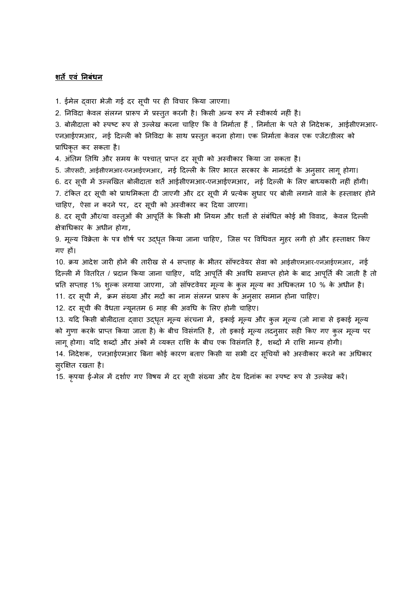#### <u>शर्ते एवं निबंधन</u>

1. ईमेल द्वारा भेजी गई दर सूची पर ही विचार किया जाएगा।

2. निविदा केवल संलग्न प्रारूप में प्रस्तुत करनी है। किसी अन्य रूप में स्वीकार्य नहीं है।

3. बोलीदाता को स्पष्ट रूप से उल्लेख करना चाहिए कि वे निर्माता हैं , निर्माता के पते से निदेशक, आईसीएमआर-एनआईएमआर, नई दिल्ली को निविदा के साथ प्रस्तुत करना होगा। एक निर्माता केवल एक एजेंट/डीलर को प्राधिकृत कर सकता है।

4. अंतिम तिथि और समय के पश्चात् प्राप्त दर सूची को अस्वीकार किया जा सकता है।

5. जीएसटी, आईसीएमआर-एनआईएमआर, नई दिल्ली के लिए भारत सरकार के मानदंडों के अनुसार लागू होगा।

6. दर सूची में उल्लखित बोलीदाता शर्तें आईसीएमआर-एनआईएमआर, नई दिल्ली के लिए बाध्यकारी नहीं होंगी। 7. टंकित दर सूची को प्राथमिकता दी जाएगी और दर सूची में प्रत्येक सुधार पर बोली लगाने वाले के हस्ताक्षर होने चाहिए, ऐसा न करने पर, दर सूची को अस्वीकार कर दिया जाएगा।

8. दर सूची और/या वस्त्ओं की आपूर्ति के किसी भी नियम और शर्तों से संबंधित कोई भी विवाद, केवल दिल्ली क्षेत्राधिकार के अधीन होगा,

9. मूल्य विक्रेता के पत्र शीर्ष पर उद्धृत किया जाना चाहिए, जिस पर विधिवत मुहर लगी हो और हस्ताक्षर किए गए हों।

10. क्रय आदेश जारी होने की तारीख से 4 सप्ताह के भीतर सॉफ्टवेयर सेवा को आईसीएमआर-एनआईएमआर, नई दिल्ली में वितरित / प्रदान किया जाना चाहिए, यदि आपूर्ति की अवधि समाप्त होने के बाद आपूर्ति की जाती है तो प्रति सप्ताह 1% शुल्क लगाया जाएगा, जो सॉफ्टवेयर मूल्य के कुल मूल्य का अधिकतम 10 % के अधीन है। 11. दर सूची में, क्रम संख्या और मदों का नाम संलग्न प्रारूप के अनुसार समान होना चाहिए।

12. दर सूची की वैधता न्यूनतम 6 माह की अवधि के लिए होनी चाहिए।

13. यदि किसी बोलीदाता दवारा उदधृत मूल्य संरचना में, इकाई मूल्य और कुल मूल्य (जो मात्रा से इकाई मूल्य को ग्णा करके प्राप्त किया जाता है) के बीच विसंगति है, तो इकाई मूल्य तदनुसार सही किए गए कुल मूल्य पर लागू होगा। यदि शब्दों और अंकों में व्यक्त राशि के बीच एक विसंगति है, शब्दों में राशि मान्य होगी। 14. निदेशक, एनआईएमआर बिना कोई कारण बताए किसी या सभी दर सूचियों को अस्वीकार करने का अधिकार सुरक्षित रखता है।

15. कृपया ई-मेल में दर्शाए गए विषय में दर सूची संख्या और देय दिनांक का स्पष्ट रूप से उल्लेख करें।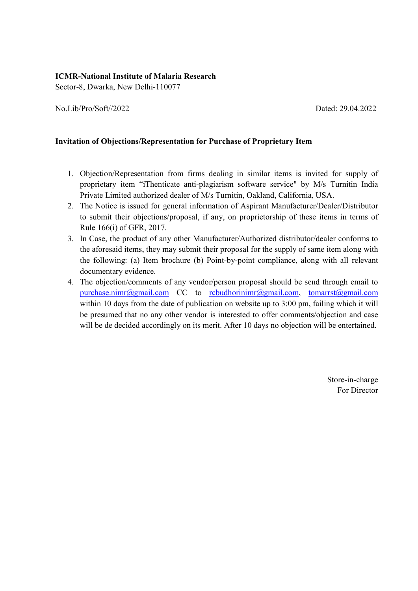### ICMR-National Institute of Malaria Research

Sector-8, Dwarka, New Delhi-110077

No.Lib/Pro/Soft//2022 Dated: 29.04.2022

## Invitation of Objections/Representation for Purchase of Proprietary Item

- 1. Objection/Representation from firms dealing in similar items is invited for supply of proprietary item "iThenticate anti-plagiarism software service" by M/s Turnitin India Private Limited authorized dealer of M/s Turnitin, Oakland, California, USA.
- 2. The Notice is issued for general information of Aspirant Manufacturer/Dealer/Distributor to submit their objections/proposal, if any, on proprietorship of these items in terms of Rule 166(i) of GFR, 2017.
- 3. In Case, the product of any other Manufacturer/Authorized distributor/dealer conforms to the aforesaid items, they may submit their proposal for the supply of same item along with the following: (a) Item brochure (b) Point-by-point compliance, along with all relevant documentary evidence.
- 4. The objection/comments of any vendor/person proposal should be send through email to purchase.nimr@gmail.com CC to rcbudhorinimr@gmail.com, tomarrst@gmail.com within 10 days from the date of publication on website up to 3:00 pm, failing which it will be presumed that no any other vendor is interested to offer comments/objection and case will be de decided accordingly on its merit. After 10 days no objection will be entertained.

Store-in-charge For Director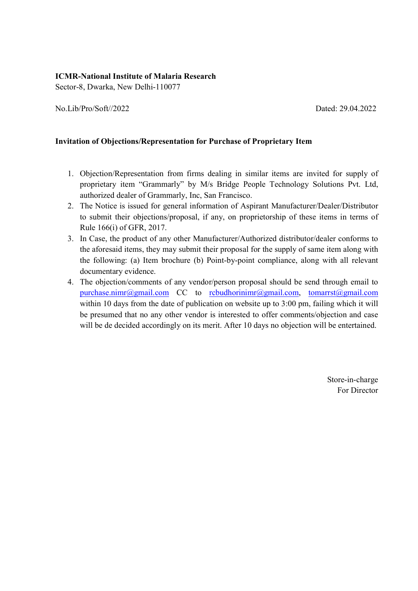### ICMR-National Institute of Malaria Research

Sector-8, Dwarka, New Delhi-110077

No.Lib/Pro/Soft//2022 Dated: 29.04.2022

## Invitation of Objections/Representation for Purchase of Proprietary Item

- 1. Objection/Representation from firms dealing in similar items are invited for supply of proprietary item "Grammarly" by M/s Bridge People Technology Solutions Pvt. Ltd, authorized dealer of Grammarly, Inc, San Francisco.
- 2. The Notice is issued for general information of Aspirant Manufacturer/Dealer/Distributor to submit their objections/proposal, if any, on proprietorship of these items in terms of Rule 166(i) of GFR, 2017.
- 3. In Case, the product of any other Manufacturer/Authorized distributor/dealer conforms to the aforesaid items, they may submit their proposal for the supply of same item along with the following: (a) Item brochure (b) Point-by-point compliance, along with all relevant documentary evidence.
- 4. The objection/comments of any vendor/person proposal should be send through email to purchase.nimr@gmail.com CC to rcbudhorinimr@gmail.com, tomarrst@gmail.com within 10 days from the date of publication on website up to 3:00 pm, failing which it will be presumed that no any other vendor is interested to offer comments/objection and case will be de decided accordingly on its merit. After 10 days no objection will be entertained.

Store-in-charge For Director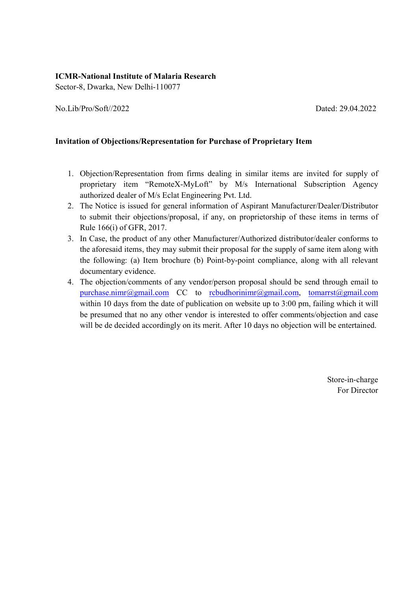### ICMR-National Institute of Malaria Research

Sector-8, Dwarka, New Delhi-110077

No.Lib/Pro/Soft//2022 Dated: 29.04.2022

# Invitation of Objections/Representation for Purchase of Proprietary Item

- 1. Objection/Representation from firms dealing in similar items are invited for supply of proprietary item "RemoteX-MyLoft" by M/s International Subscription Agency authorized dealer of M/s Eclat Engineering Pvt. Ltd.
- 2. The Notice is issued for general information of Aspirant Manufacturer/Dealer/Distributor to submit their objections/proposal, if any, on proprietorship of these items in terms of Rule 166(i) of GFR, 2017.
- 3. In Case, the product of any other Manufacturer/Authorized distributor/dealer conforms to the aforesaid items, they may submit their proposal for the supply of same item along with the following: (a) Item brochure (b) Point-by-point compliance, along with all relevant documentary evidence.
- 4. The objection/comments of any vendor/person proposal should be send through email to purchase.nimr@gmail.com CC to rcbudhorinimr@gmail.com, tomarrst@gmail.com within 10 days from the date of publication on website up to 3:00 pm, failing which it will be presumed that no any other vendor is interested to offer comments/objection and case will be de decided accordingly on its merit. After 10 days no objection will be entertained.

Store-in-charge For Director